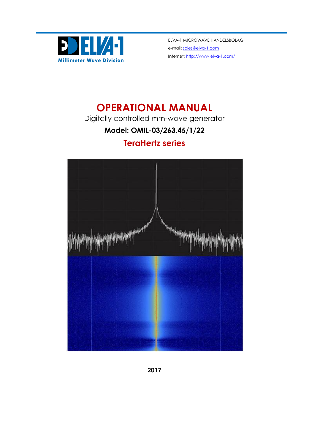

ELVA-1 MICROWAVE HANDELSBOLAG e-mail[: sales@elva-1.com](mailto:sales@elva-1.com) Internet[: http://www.elva-1.com/](http://www.elva-1.com/)

# **OPERATIONAL MANUAL**

Digitally controlled mm-wave generator

## **Model: OMIL-03/263.45/1/22**

## **TeraHertz series**



**2017**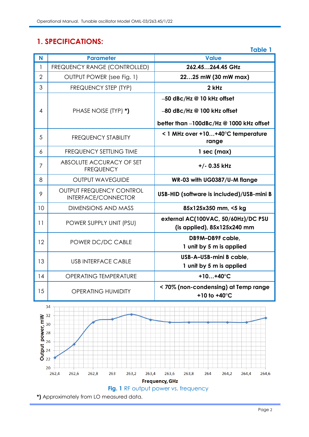## **1. SPECIFICATIONS:**

|                |                                                 | <b>Table 1</b>                                                                                        |
|----------------|-------------------------------------------------|-------------------------------------------------------------------------------------------------------|
| N              | <b>Parameter</b>                                | <b>Value</b>                                                                                          |
| 1              | FREQUENCY RANGE (CONTROLLED)                    | 262.45264.45 GHz                                                                                      |
| $\overline{2}$ | OUTPUT POWER (see Fig. 1)                       | 2225 mW (30 mW max)                                                                                   |
| 3              | FREQUENCY STEP (TYP)                            | 2 kHz                                                                                                 |
| 4              | PHASE NOISE (TYP) *)                            | -50 dBc/Hz @ 10 kHz offset<br>-80 dBc/Hz @ 100 kHz offset<br>better than -100dBc/Hz @ 1000 kHz offset |
| 5              | <b>FREQUENCY STABILITY</b>                      | < 1 MHz over +10+40°C temperature<br>range                                                            |
| 6              | <b>FREQUENCY SETTLING TIME</b>                  | $1$ sec (max)                                                                                         |
| 7              | ABSOLUTE ACCURACY OF SET<br><b>FREQUENCY</b>    | +/- 0.35 kHz                                                                                          |
| 8              | <b>OUTPUT WAVEGUIDE</b>                         | WR-03 with UG0387/U-M flange                                                                          |
| 9              | OUTPUT FREQUENCY CONTROL<br>INTERFACE/CONNECTOR | USB-HID (software is included)/USB-mini B                                                             |
| 10             | <b>DIMENSIONS AND MASS</b>                      | 85x125x350 mm, <5 kg                                                                                  |
| 11             | POWER SUPPLY UNIT (PSU)                         | external AC(100VAC, 50/60Hz)/DC PSU<br>(is applied), $85x125x240$ mm                                  |
| 12             | POWER DC/DC CABLE                               | DB9M-DB9F cable,<br>1 unit by 5 m is applied                                                          |
| 13             | <b>USB INTERFACE CABLE</b>                      | USB-A-USB-mini B cable,<br>1 unit by 5 m is applied                                                   |
| 14             | <b>OPERATING TEMPERATURE</b>                    | +10+40 $^{\circ}$ C                                                                                   |
| 15             | <b>OPERATING HUMIDITY</b>                       | < 70% (non-condensing) at Temp range<br>+10 to +40°C                                                  |



Page 2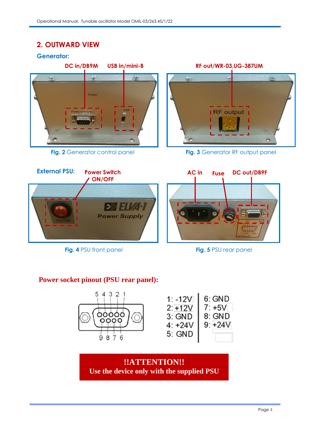### **2. OUTWARD VIEW**

**Generator:**



**Fig. 2** Generator control panel

 $\leq$  $\ddot{\mathbf{z}}$ **RF** output USB in

**Fig. 3** Generator RF output panel



**Fig. 4** PSU front panel **Fig. 5** PSU rear panel

#### **Power socket pinout (PSU rear panel):**



**!!ATTENTION!! Use the device only with the supplied PSU**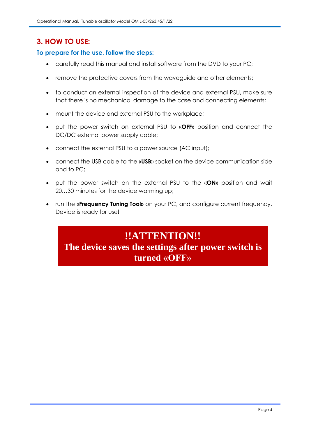### **3. HOW TO USE:**

#### **To prepare for the use, follow the steps:**

- carefully read this manual and install software from the DVD to your PC;
- remove the protective covers from the waveguide and other elements;
- to conduct an external inspection of the device and external PSU, make sure that there is no mechanical damage to the case and connecting elements;
- mount the device and external PSU to the workplace;
- put the power switch on external PSU to «**OFF**» position and connect the DC/DC external power supply cable;
- connect the external PSU to a power source (AC input);
- connect the USB cable to the «**USB**» socket on the device communication side and to PC;
- put the power switch on the external PSU to the «**ON**» position and wait 20…30 minutes for the device warming up;
- run the «**Frequency Tuning Tool»** on your PC, and configure current frequency. Device is ready for use!

## **!!ATTENTION!! The device saves the settings after power switch is turned «OFF»**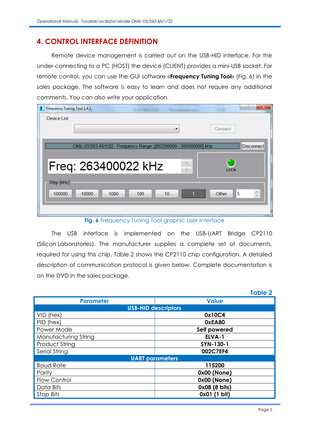### **4. CONTROL INTERFACE DEFINITION**

Remote device management is carried out on the USB-HID interface. For the under-connecting to a PC (HOST) the device (CLIENT) provides a mini-USB socket. For remote control, you can use the GUI software «**Frequency Tuning Tool**» (Fig. 6) in the sales package. The software is easy to learn and does not require any additional comments. You can also write your application.

| Frequency Tuning Tool 1.4.1                                                                                                                                                                                                           | $\mathbf{x}$<br>$\boxed{\square}$<br>$\Box$ |
|---------------------------------------------------------------------------------------------------------------------------------------------------------------------------------------------------------------------------------------|---------------------------------------------|
| Device List                                                                                                                                                                                                                           |                                             |
|                                                                                                                                                                                                                                       | Connect                                     |
| OMIL-03/263.45/1/22. Frequency Range: [262200000 - 265000000] kHz                                                                                                                                                                     | <b>Disconnect</b>                           |
| Freq: 263400022 kHz                                                                                                                                                                                                                   | <b>LOCK</b>                                 |
| Step [kHz]                                                                                                                                                                                                                            |                                             |
| 10<br>100000<br>100<br>10000<br>1000                                                                                                                                                                                                  | ÷<br>5<br>Other                             |
| $\mathbf{r}$<br>$\bullet$<br><b>Contract Contract</b><br>$\sim$<br>$\mathbf{r}$<br><b>The Contract of the Contract of the Contract of the Contract of the Contract of the Contract of the Contract o</b><br><b>Contract</b><br>$\sim$ |                                             |

**Fig. 6** Frequency Tuning Tool graphic user interface

The USB interface is implemented on the USB-UART Bridge CP2110 (Silicon Laboratories). The manufacturer supplies a complete set of documents, required for using this chip. Table 2 shows the CP2110 chip configuration. A detailed description of communication protocol is given below. Complete documentation is on the DVD in the sales package.

|                      | <b>Table 2</b>             |  |  |  |  |
|----------------------|----------------------------|--|--|--|--|
| <b>Parameter</b>     | <b>Value</b>               |  |  |  |  |
|                      | <b>USB-HID descriptors</b> |  |  |  |  |
| VID (hex)            | 0x10C4                     |  |  |  |  |
| PID (hex)            | 0xEA80                     |  |  |  |  |
| Power Mode           | Self powered               |  |  |  |  |
| Manufacturing String | ELVA-1                     |  |  |  |  |
| Product String       | SYN-130-1                  |  |  |  |  |
| Serial String        | 002C7EF4                   |  |  |  |  |
|                      | <b>UART</b> parameters     |  |  |  |  |
| <b>Baud Rate</b>     | 115200                     |  |  |  |  |
| Parity               | 0x00 (None)                |  |  |  |  |
| Flow Control         | 0x00 (None)                |  |  |  |  |
| Data Bits            | 0x08 (8 bits)              |  |  |  |  |
| Stop Bits            | $0x01(1 \text{ bit})$      |  |  |  |  |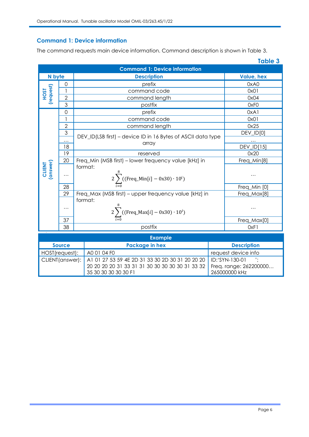#### **Command 1: Device information**

The command requests main device information. Command description is shown in Table 3.

|                          |                                      |                                                                              | <b>Table 3</b>    |  |  |
|--------------------------|--------------------------------------|------------------------------------------------------------------------------|-------------------|--|--|
|                          | <b>Command 1: Device information</b> |                                                                              |                   |  |  |
| N byte                   |                                      | <b>Description</b>                                                           | <b>Value, hex</b> |  |  |
|                          | $\Omega$                             | prefix                                                                       | 0xA0              |  |  |
| (request)<br><b>TSOH</b> | 1                                    | command code                                                                 | 0x01              |  |  |
|                          | $\overline{2}$                       | command length                                                               | 0x04              |  |  |
|                          | 3                                    | postfix                                                                      | 0xF <sub>0</sub>  |  |  |
|                          | $\Omega$                             | prefix                                                                       | 0xA1              |  |  |
|                          | 1                                    | command code                                                                 | 0x01              |  |  |
|                          | $\overline{2}$                       | command length                                                               | 0x25              |  |  |
|                          | 3                                    |                                                                              | DEV_ID[0]         |  |  |
|                          | $\cdots$                             | DEV_ID(LSB first) – device ID in 16 Bytes of ASCII data type                 |                   |  |  |
|                          | 18                                   | array                                                                        | DEV_ID[15]        |  |  |
|                          | 19                                   | reserved                                                                     | 0x20              |  |  |
|                          | 20                                   | Freq_Min (MSB first) - lower frequency value [kHz] in                        | Freq_Min[8]       |  |  |
| CLIENT<br>(answer)       | .                                    | format:<br>$2\sum_{i=1}^{\infty}((\text{Freq\_Min}[i] - 0x30) \cdot 10^{i})$ | $\ddotsc$         |  |  |
|                          | 28                                   |                                                                              | Freq_Min [0]      |  |  |
|                          | 29                                   | Freq_Max (MSB first) - upper frequency value [kHz] in                        | Freq_Max[8]       |  |  |
|                          | $\cdots$                             | format:<br>2 $\sum$ ((Freq_Max[i] – 0x30) · 10 <sup>i</sup> )                |                   |  |  |
|                          | 37                                   |                                                                              | Freq_Max[0]       |  |  |
|                          | 38                                   | postfix                                                                      | OxF1              |  |  |

| <b>Example</b>                  |                                                                                                                                                |                                                                    |  |
|---------------------------------|------------------------------------------------------------------------------------------------------------------------------------------------|--------------------------------------------------------------------|--|
| Package in hex<br><b>Source</b> |                                                                                                                                                | <b>Description</b>                                                 |  |
| HOST(request):                  | A0 01 04 F0                                                                                                                                    | request device info                                                |  |
|                                 | CLIENT(answer):   A1 01 27 53 59 4E 2D 31 33 30 2D 30 31 20 20 20  <br>20 20 20 20 31 33 31 31 30 30 30 30 30 31 33 32<br>35 30 30 30 30 30 F1 | $ID: 'SYN-130-01$ $'$ :<br>Freq. range: 262200000<br>265000000 kHz |  |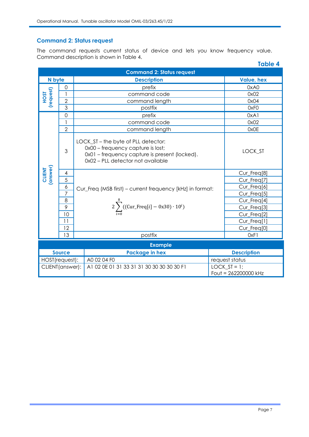#### **Command 2: Status request**

The command requests current status of device and lets you know frequency value. Command description is shown in Table 4.

|                              |                |                                                                                                                                                                | <b>Table 4</b>                          |
|------------------------------|----------------|----------------------------------------------------------------------------------------------------------------------------------------------------------------|-----------------------------------------|
|                              |                | <b>Command 2: Status request</b>                                                                                                                               |                                         |
| N byte<br><b>Description</b> |                | <b>Value, hex</b>                                                                                                                                              |                                         |
| (request)<br><b>HOST</b>     | 0              | prefix                                                                                                                                                         | 0xA0                                    |
|                              | 1              | command code                                                                                                                                                   | 0x02                                    |
|                              | $\overline{2}$ | command length                                                                                                                                                 | 0x04                                    |
|                              | 3              | postfix                                                                                                                                                        | 0xF <sub>0</sub>                        |
|                              | $\mathbf 0$    | prefix                                                                                                                                                         | 0xA1                                    |
|                              | 1              | command code                                                                                                                                                   | 0x02                                    |
|                              | $\overline{2}$ | command length                                                                                                                                                 | 0x0E                                    |
|                              | 3              | LOCK_ST - the byte of PLL detector:<br>0x00 - frequency capture is lost;<br>0x01 - frequency capture is present (locked).<br>0x02 - PLL detector not available | LOCK_ST                                 |
| CLIENT<br>(answer)           | 4              |                                                                                                                                                                | Cur_Freq[8]                             |
|                              | 5              |                                                                                                                                                                | Cur_Freq[7]                             |
|                              | 6              | Cur_Freq (MSB first) - current frequency [kHz] in format:                                                                                                      | Cur_Freq[6]                             |
|                              | $\overline{7}$ |                                                                                                                                                                | Cur_Freq[5]                             |
|                              | 8              |                                                                                                                                                                | Cur_Freq[4]                             |
|                              | 9              | $2\sum$ ((Cur_Freq[i] – 0x30) · 10 <sup>i</sup> )                                                                                                              | Cur_Freq[3]                             |
|                              | 10             |                                                                                                                                                                | Cur_Freq[2]                             |
|                              | 11             |                                                                                                                                                                | Cur_Freq[1]                             |
|                              | 12             |                                                                                                                                                                | Cur_Freq[0]                             |
|                              | 13             | postfix                                                                                                                                                        | 0xF1                                    |
|                              |                | <b>Example</b>                                                                                                                                                 |                                         |
|                              | <b>Source</b>  | <b>Package in hex</b>                                                                                                                                          | <b>Description</b>                      |
| HOST(request):               |                | A0 02 04 F0                                                                                                                                                    | request status                          |
| CLIENT(answer):              |                | A1 02 0E 01 31 33 31 31 30 30 30 30 30 F1                                                                                                                      | LOCK $ST = 1$ ;<br>Fout = 262200000 kHz |